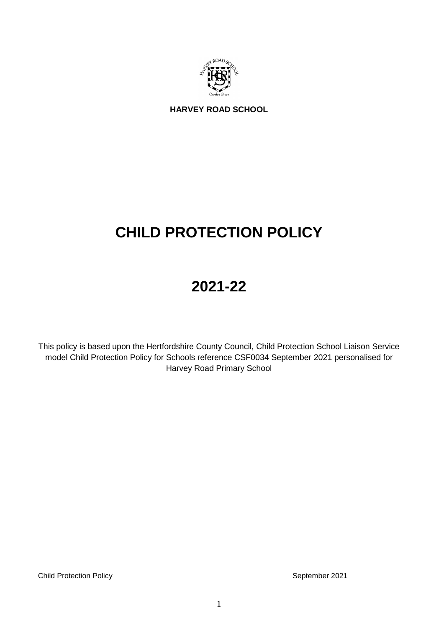

**HARVEY ROAD SCHOOL**

# **CHILD PROTECTION POLICY**

# **2021-22**

This policy is based upon the Hertfordshire County Council, Child Protection School Liaison Service model Child Protection Policy for Schools reference CSF0034 September 2021 personalised for Harvey Road Primary School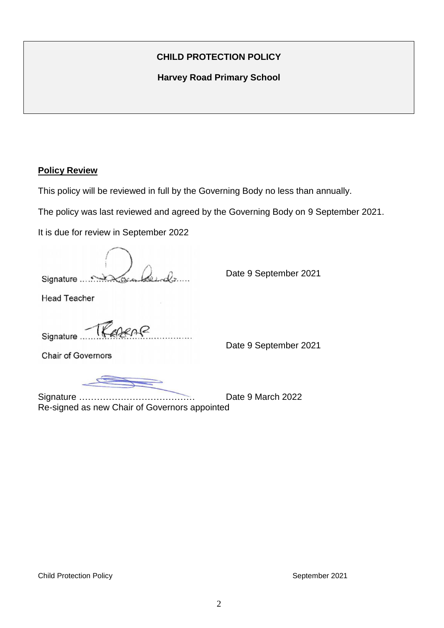# **CHILD PROTECTION POLICY**

**Harvey Road Primary School** 

### **Policy Review**

This policy will be reviewed in full by the Governing Body no less than annually.

The policy was last reviewed and agreed by the Governing Body on 9 September 2021.

It is due for review in September 2022

Signature …………………………………. Date 9 September 2021

Head Teacher

 $\triangle P$ Signature.

Signature 2021<br>Chair of Governors<br>
Signature 2021

Signature ………………………………… Date 9 March 2022 Re-signed as new Chair of Governors appointed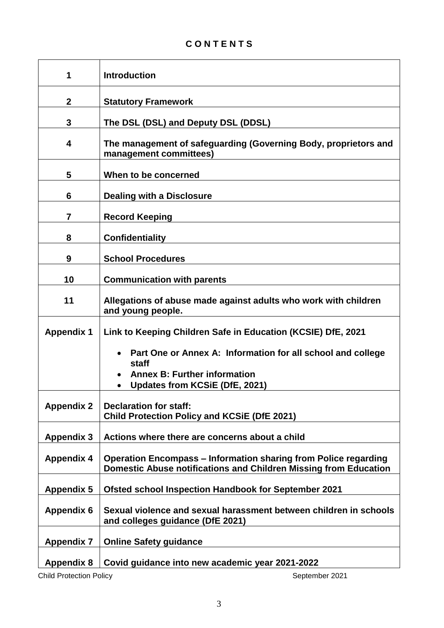| 1                 | <b>Introduction</b>                                                                                                                                  |
|-------------------|------------------------------------------------------------------------------------------------------------------------------------------------------|
| $\mathbf 2$       | <b>Statutory Framework</b>                                                                                                                           |
| 3                 | The DSL (DSL) and Deputy DSL (DDSL)                                                                                                                  |
| 4                 | The management of safeguarding (Governing Body, proprietors and<br>management committees)                                                            |
| 5                 | When to be concerned                                                                                                                                 |
| 6                 | <b>Dealing with a Disclosure</b>                                                                                                                     |
| $\overline{7}$    | <b>Record Keeping</b>                                                                                                                                |
| 8                 | <b>Confidentiality</b>                                                                                                                               |
| 9                 | <b>School Procedures</b>                                                                                                                             |
| 10                | <b>Communication with parents</b>                                                                                                                    |
| 11                | Allegations of abuse made against adults who work with children<br>and young people.                                                                 |
| <b>Appendix 1</b> | Link to Keeping Children Safe in Education (KCSIE) DfE, 2021                                                                                         |
|                   | Part One or Annex A: Information for all school and college<br>staff<br><b>Annex B: Further information</b><br><b>Updates from KCSiE (DfE, 2021)</b> |
| <b>Appendix 2</b> | <b>Declaration for staff:</b><br><b>Child Protection Policy and KCSiE (DfE 2021)</b>                                                                 |
| <b>Appendix 3</b> | Actions where there are concerns about a child                                                                                                       |
| <b>Appendix 4</b> | <b>Operation Encompass – Information sharing from Police regarding</b><br>Domestic Abuse notifications and Children Missing from Education           |
| <b>Appendix 5</b> | <b>Ofsted school Inspection Handbook for September 2021</b>                                                                                          |
| <b>Appendix 6</b> | Sexual violence and sexual harassment between children in schools<br>and colleges guidance (DfE 2021)                                                |
| <b>Appendix 7</b> | <b>Online Safety guidance</b>                                                                                                                        |
| <b>Appendix 8</b> | Covid guidance into new academic year 2021-2022                                                                                                      |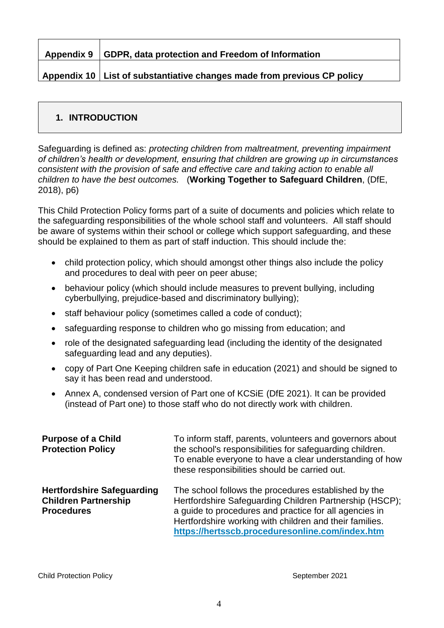| Appendix 9   GDPR, data protection and Freedom of Information |
|---------------------------------------------------------------|
|                                                               |

**Appendix 10 List of substantiative changes made from previous CP policy**

# **1. INTRODUCTION**

Safeguarding is defined as: *protecting children from maltreatment, preventing impairment of children's health or development, ensuring that children are growing up in circumstances consistent with the provision of safe and effective care and taking action to enable all children to have the best outcomes.* (**Working Together to Safeguard Children**, (DfE, 2018), p6)

This Child Protection Policy forms part of a suite of documents and policies which relate to the safeguarding responsibilities of the whole school staff and volunteers. All staff should be aware of systems within their school or college which support safeguarding, and these should be explained to them as part of staff induction. This should include the:

- child protection policy, which should amongst other things also include the policy and procedures to deal with peer on peer abuse;
- behaviour policy (which should include measures to prevent bullying, including cyberbullying, prejudice-based and discriminatory bullying);
- staff behaviour policy (sometimes called a code of conduct);
- safeguarding response to children who go missing from education; and
- role of the designated safeguarding lead (including the identity of the designated safeguarding lead and any deputies).
- copy of Part One Keeping children safe in education (2021) and should be signed to say it has been read and understood.
- Annex A, condensed version of Part one of KCSiE (DfE 2021). It can be provided (instead of Part one) to those staff who do not directly work with children.

| <b>Purpose of a Child</b><br><b>Protection Policy</b>                                 | To inform staff, parents, volunteers and governors about<br>the school's responsibilities for safeguarding children.<br>To enable everyone to have a clear understanding of how<br>these responsibilities should be carried out.                                                        |
|---------------------------------------------------------------------------------------|-----------------------------------------------------------------------------------------------------------------------------------------------------------------------------------------------------------------------------------------------------------------------------------------|
| <b>Hertfordshire Safeguarding</b><br><b>Children Partnership</b><br><b>Procedures</b> | The school follows the procedures established by the<br>Hertfordshire Safeguarding Children Partnership (HSCP);<br>a guide to procedures and practice for all agencies in<br>Hertfordshire working with children and their families.<br>https://hertsscb.proceduresonline.com/index.htm |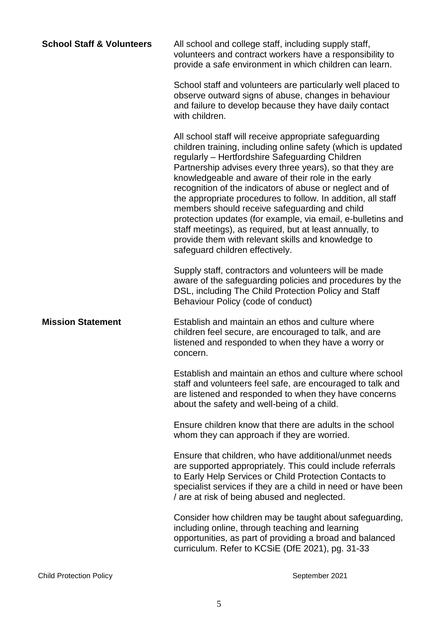| <b>School Staff &amp; Volunteers</b> | All school and college staff, including supply staff,<br>volunteers and contract workers have a responsibility to<br>provide a safe environment in which children can learn.                                                                                                                                                                                                                                                                                                                                                                                                                                                                                                                |
|--------------------------------------|---------------------------------------------------------------------------------------------------------------------------------------------------------------------------------------------------------------------------------------------------------------------------------------------------------------------------------------------------------------------------------------------------------------------------------------------------------------------------------------------------------------------------------------------------------------------------------------------------------------------------------------------------------------------------------------------|
|                                      | School staff and volunteers are particularly well placed to<br>observe outward signs of abuse, changes in behaviour<br>and failure to develop because they have daily contact<br>with children.                                                                                                                                                                                                                                                                                                                                                                                                                                                                                             |
|                                      | All school staff will receive appropriate safeguarding<br>children training, including online safety (which is updated<br>regularly - Hertfordshire Safeguarding Children<br>Partnership advises every three years), so that they are<br>knowledgeable and aware of their role in the early<br>recognition of the indicators of abuse or neglect and of<br>the appropriate procedures to follow. In addition, all staff<br>members should receive safeguarding and child<br>protection updates (for example, via email, e-bulletins and<br>staff meetings), as required, but at least annually, to<br>provide them with relevant skills and knowledge to<br>safeguard children effectively. |
|                                      | Supply staff, contractors and volunteers will be made<br>aware of the safeguarding policies and procedures by the<br>DSL, including The Child Protection Policy and Staff<br>Behaviour Policy (code of conduct)                                                                                                                                                                                                                                                                                                                                                                                                                                                                             |
| <b>Mission Statement</b>             | Establish and maintain an ethos and culture where<br>children feel secure, are encouraged to talk, and are<br>listened and responded to when they have a worry or<br>concern.                                                                                                                                                                                                                                                                                                                                                                                                                                                                                                               |
|                                      | Establish and maintain an ethos and culture where school<br>staff and volunteers feel safe, are encouraged to talk and<br>are listened and responded to when they have concerns<br>about the safety and well-being of a child.                                                                                                                                                                                                                                                                                                                                                                                                                                                              |
|                                      | Ensure children know that there are adults in the school<br>whom they can approach if they are worried.                                                                                                                                                                                                                                                                                                                                                                                                                                                                                                                                                                                     |
|                                      | Ensure that children, who have additional/unmet needs<br>are supported appropriately. This could include referrals<br>to Early Help Services or Child Protection Contacts to<br>specialist services if they are a child in need or have been<br>/ are at risk of being abused and neglected.                                                                                                                                                                                                                                                                                                                                                                                                |
|                                      | Consider how children may be taught about safeguarding,<br>including online, through teaching and learning<br>opportunities, as part of providing a broad and balanced<br>curriculum. Refer to KCSiE (DfE 2021), pg. 31-33                                                                                                                                                                                                                                                                                                                                                                                                                                                                  |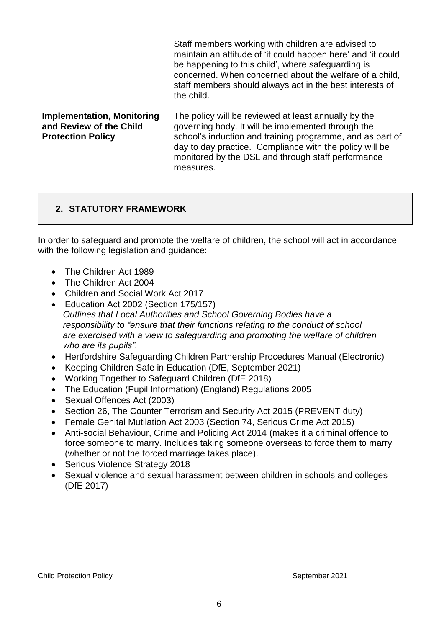|                                                                                          | Staff members working with children are advised to<br>maintain an attitude of 'it could happen here' and 'it could<br>be happening to this child', where safeguarding is<br>concerned. When concerned about the welfare of a child,<br>staff members should always act in the best interests of<br>the child. |
|------------------------------------------------------------------------------------------|---------------------------------------------------------------------------------------------------------------------------------------------------------------------------------------------------------------------------------------------------------------------------------------------------------------|
| <b>Implementation, Monitoring</b><br>and Review of the Child<br><b>Protection Policy</b> | The policy will be reviewed at least annually by the<br>governing body. It will be implemented through the<br>school's induction and training programme, and as part of<br>day to day practice. Compliance with the policy will be<br>monitored by the DSL and through staff performance<br>measures          |

# **2. STATUTORY FRAMEWORK**

In order to safeguard and promote the welfare of children, the school will act in accordance with the following legislation and guidance:

- The Children Act 1989
- The Children Act 2004
- Children and Social Work Act 2017
- Education Act 2002 (Section 175/157) *Outlines that Local Authorities and School Governing Bodies have a responsibility to "ensure that their functions relating to the conduct of school are exercised with a view to safeguarding and promoting the welfare of children who are its pupils".*
- Hertfordshire Safeguarding Children Partnership Procedures Manual (Electronic)
- Keeping Children Safe in Education (DfE, September 2021)
- Working Together to Safeguard Children (DfE 2018)
- The Education (Pupil Information) (England) Regulations 2005
- Sexual Offences Act (2003)
- Section 26, The Counter Terrorism and Security Act 2015 (PREVENT duty)
- Female Genital Mutilation Act 2003 (Section 74, Serious Crime Act 2015)
- Anti-social Behaviour, Crime and Policing Act 2014 (makes it a criminal offence to force someone to marry. Includes taking someone overseas to force them to marry (whether or not the forced marriage takes place).
- Serious Violence Strategy 2018
- Sexual violence and sexual harassment between children in schools and colleges (DfE 2017)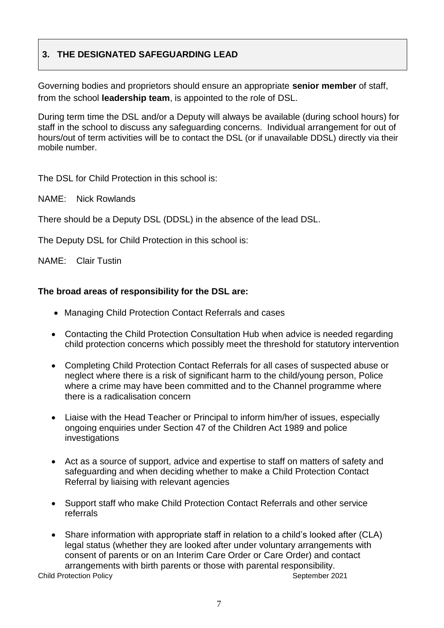# **3. THE DESIGNATED SAFEGUARDING LEAD**

Governing bodies and proprietors should ensure an appropriate **senior member** of staff, from the school **leadership team**, is appointed to the role of DSL.

During term time the DSL and/or a Deputy will always be available (during school hours) for staff in the school to discuss any safeguarding concerns. Individual arrangement for out of hours/out of term activities will be to contact the DSL (or if unavailable DDSL) directly via their mobile number.

The DSL for Child Protection in this school is:

NAME: Nick Rowlands

There should be a Deputy DSL (DDSL) in the absence of the lead DSL.

The Deputy DSL for Child Protection in this school is:

NAME: Clair Tustin

### **The broad areas of responsibility for the DSL are:**

- Managing Child Protection Contact Referrals and cases
- Contacting the Child Protection Consultation Hub when advice is needed regarding child protection concerns which possibly meet the threshold for statutory intervention
- Completing Child Protection Contact Referrals for all cases of suspected abuse or neglect where there is a risk of significant harm to the child/young person, Police where a crime may have been committed and to the Channel programme where there is a radicalisation concern
- Liaise with the Head Teacher or Principal to inform him/her of issues, especially ongoing enquiries under Section 47 of the Children Act 1989 and police investigations
- Act as a source of support, advice and expertise to staff on matters of safety and safeguarding and when deciding whether to make a Child Protection Contact Referral by liaising with relevant agencies
- Support staff who make Child Protection Contact Referrals and other service referrals
- Share information with appropriate staff in relation to a child's looked after (CLA) legal status (whether they are looked after under voluntary arrangements with consent of parents or on an Interim Care Order or Care Order) and contact arrangements with birth parents or those with parental responsibility.

**Child Protection Policy Child Protection Policy**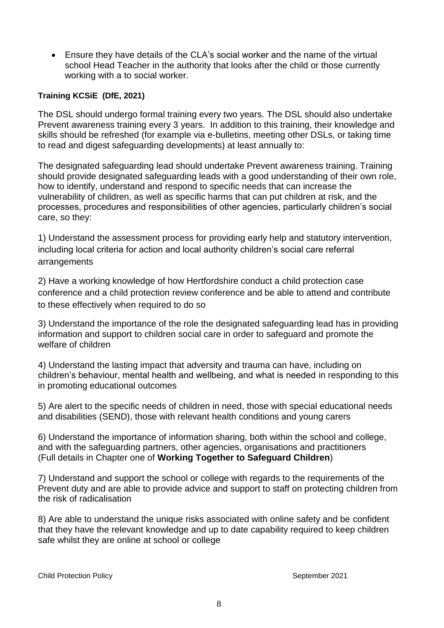Ensure they have details of the CLA's social worker and the name of the virtual school Head Teacher in the authority that looks after the child or those currently working with a to social worker.

### **Training KCSiE (DfE, 2021)**

The DSL should undergo formal training every two years. The DSL should also undertake Prevent awareness training every 3 years. In addition to this training, their knowledge and skills should be refreshed (for example via e-bulletins, meeting other DSLs, or taking time to read and digest safeguarding developments) at least annually to:

The designated safeguarding lead should undertake Prevent awareness training. Training should provide designated safeguarding leads with a good understanding of their own role, how to identify, understand and respond to specific needs that can increase the vulnerability of children, as well as specific harms that can put children at risk, and the processes, procedures and responsibilities of other agencies, particularly children's social care, so they:

1) Understand the assessment process for providing early help and statutory intervention, including local criteria for action and local authority children's social care referral arrangements

2) Have a working knowledge of how Hertfordshire conduct a child protection case conference and a child protection review conference and be able to attend and contribute to these effectively when required to do so

3) Understand the importance of the role the designated safeguarding lead has in providing information and support to children social care in order to safeguard and promote the welfare of children

4) Understand the lasting impact that adversity and trauma can have, including on children's behaviour, mental health and wellbeing, and what is needed in responding to this in promoting educational outcomes

5) Are alert to the specific needs of children in need, those with special educational needs and disabilities (SEND), those with relevant health conditions and young carers

6) Understand the importance of information sharing, both within the school and college, and with the safeguarding partners, other agencies, organisations and practitioners (Full details in Chapter one of **Working Together to Safeguard Children**)

7) Understand and support the school or college with regards to the requirements of the Prevent duty and are able to provide advice and support to staff on protecting children from the risk of radicalisation

8) Are able to understand the unique risks associated with online safety and be confident that they have the relevant knowledge and up to date capability required to keep children safe whilst they are online at school or college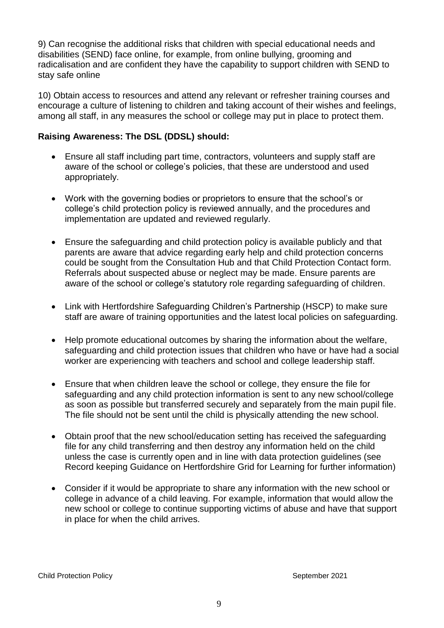9) Can recognise the additional risks that children with special educational needs and disabilities (SEND) face online, for example, from online bullying, grooming and radicalisation and are confident they have the capability to support children with SEND to stay safe online

10) Obtain access to resources and attend any relevant or refresher training courses and encourage a culture of listening to children and taking account of their wishes and feelings, among all staff, in any measures the school or college may put in place to protect them.

### **Raising Awareness: The DSL (DDSL) should:**

- Ensure all staff including part time, contractors, volunteers and supply staff are aware of the school or college's policies, that these are understood and used appropriately.
- Work with the governing bodies or proprietors to ensure that the school's or college's child protection policy is reviewed annually, and the procedures and implementation are updated and reviewed regularly.
- Ensure the safeguarding and child protection policy is available publicly and that parents are aware that advice regarding early help and child protection concerns could be sought from the Consultation Hub and that Child Protection Contact form. Referrals about suspected abuse or neglect may be made. Ensure parents are aware of the school or college's statutory role regarding safeguarding of children.
- Link with Hertfordshire Safeguarding Children's Partnership (HSCP) to make sure staff are aware of training opportunities and the latest local policies on safeguarding.
- Help promote educational outcomes by sharing the information about the welfare, safeguarding and child protection issues that children who have or have had a social worker are experiencing with teachers and school and college leadership staff.
- Ensure that when children leave the school or college, they ensure the file for safeguarding and any child protection information is sent to any new school/college as soon as possible but transferred securely and separately from the main pupil file. The file should not be sent until the child is physically attending the new school.
- Obtain proof that the new school/education setting has received the safeguarding file for any child transferring and then destroy any information held on the child unless the case is currently open and in line with data protection guidelines (see Record keeping Guidance on Hertfordshire Grid for Learning for further information)
- Consider if it would be appropriate to share any information with the new school or college in advance of a child leaving. For example, information that would allow the new school or college to continue supporting victims of abuse and have that support in place for when the child arrives.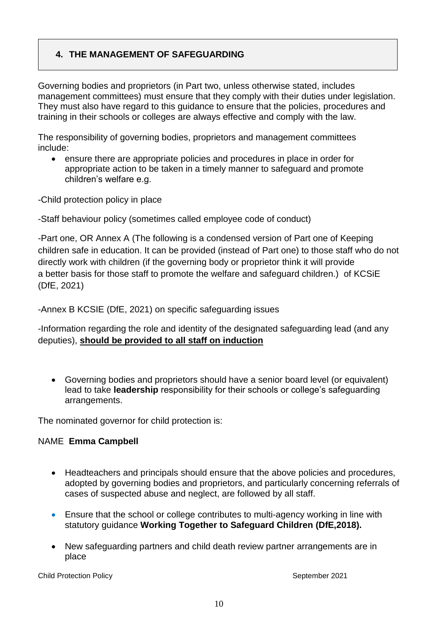# **4. THE MANAGEMENT OF SAFEGUARDING**

Governing bodies and proprietors (in Part two, unless otherwise stated, includes management committees) must ensure that they comply with their duties under legislation. They must also have regard to this guidance to ensure that the policies, procedures and training in their schools or colleges are always effective and comply with the law.

The responsibility of governing bodies, proprietors and management committees include:

 ensure there are appropriate policies and procedures in place in order for appropriate action to be taken in a timely manner to safeguard and promote children's welfare e.g.

-Child protection policy in place

-Staff behaviour policy (sometimes called employee code of conduct)

-Part one, OR Annex A (The following is a condensed version of Part one of Keeping children safe in education. It can be provided (instead of Part one) to those staff who do not directly work with children (if the governing body or proprietor think it will provide a better basis for those staff to promote the welfare and safeguard children.) of KCSiE (DfE, 2021)

-Annex B KCSIE (DfE, 2021) on specific safeguarding issues

-Information regarding the role and identity of the designated safeguarding lead (and any deputies), **should be provided to all staff on induction**

 Governing bodies and proprietors should have a senior board level (or equivalent) lead to take **leadership** responsibility for their schools or college's safeguarding arrangements.

The nominated governor for child protection is:

### NAME **Emma Campbell**

- Headteachers and principals should ensure that the above policies and procedures, adopted by governing bodies and proprietors, and particularly concerning referrals of cases of suspected abuse and neglect, are followed by all staff.
- Ensure that the school or college contributes to multi-agency working in line with statutory guidance **Working Together to Safeguard Children (DfE,2018).**
- New safeguarding partners and child death review partner arrangements are in place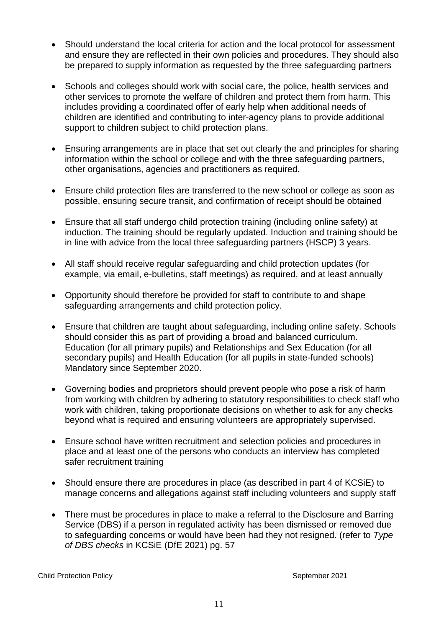- Should understand the local criteria for action and the local protocol for assessment and ensure they are reflected in their own policies and procedures. They should also be prepared to supply information as requested by the three safeguarding partners
- Schools and colleges should work with social care, the police, health services and other services to promote the welfare of children and protect them from harm. This includes providing a coordinated offer of early help when additional needs of children are identified and contributing to inter-agency plans to provide additional support to children subject to child protection plans.
- Ensuring arrangements are in place that set out clearly the and principles for sharing information within the school or college and with the three safeguarding partners, other organisations, agencies and practitioners as required.
- Ensure child protection files are transferred to the new school or college as soon as possible, ensuring secure transit, and confirmation of receipt should be obtained
- Ensure that all staff undergo child protection training (including online safety) at induction. The training should be regularly updated. Induction and training should be in line with advice from the local three safeguarding partners (HSCP) 3 years.
- All staff should receive regular safeguarding and child protection updates (for example, via email, e-bulletins, staff meetings) as required, and at least annually
- Opportunity should therefore be provided for staff to contribute to and shape safeguarding arrangements and child protection policy.
- Ensure that children are taught about safeguarding, including online safety. Schools should consider this as part of providing a broad and balanced curriculum. Education (for all primary pupils) and Relationships and Sex Education (for all secondary pupils) and Health Education (for all pupils in state-funded schools) Mandatory since September 2020.
- Governing bodies and proprietors should prevent people who pose a risk of harm from working with children by adhering to statutory responsibilities to check staff who work with children, taking proportionate decisions on whether to ask for any checks beyond what is required and ensuring volunteers are appropriately supervised.
- Ensure school have written recruitment and selection policies and procedures in place and at least one of the persons who conducts an interview has completed safer recruitment training
- Should ensure there are procedures in place (as described in part 4 of KCSiE) to manage concerns and allegations against staff including volunteers and supply staff
- There must be procedures in place to make a referral to the Disclosure and Barring Service (DBS) if a person in regulated activity has been dismissed or removed due to safeguarding concerns or would have been had they not resigned. (refer to *Type of DBS checks* in KCSiE (DfE 2021) pg. 57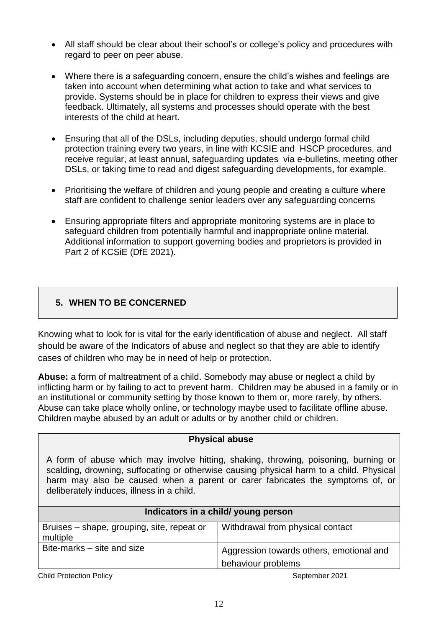- All staff should be clear about their school's or college's policy and procedures with regard to peer on peer abuse.
- Where there is a safeguarding concern, ensure the child's wishes and feelings are taken into account when determining what action to take and what services to provide. Systems should be in place for children to express their views and give feedback. Ultimately, all systems and processes should operate with the best interests of the child at heart.
- Ensuring that all of the DSLs, including deputies, should undergo formal child protection training every two years, in line with KCSIE and HSCP procedures, and receive regular, at least annual, safeguarding updates via e-bulletins, meeting other DSLs, or taking time to read and digest safeguarding developments, for example.
- Prioritising the welfare of children and young people and creating a culture where staff are confident to challenge senior leaders over any safeguarding concerns
- Ensuring appropriate filters and appropriate monitoring systems are in place to safeguard children from potentially harmful and inappropriate online material. Additional information to support governing bodies and proprietors is provided in Part 2 of KCSiE (DfE 2021).

# **5. WHEN TO BE CONCERNED**

Knowing what to look for is vital for the early identification of abuse and neglect. All staff should be aware of the Indicators of abuse and neglect so that they are able to identify cases of children who may be in need of help or protection.

**Abuse:** a form of maltreatment of a child. Somebody may abuse or neglect a child by inflicting harm or by failing to act to prevent harm. Children may be abused in a family or in an institutional or community setting by those known to them or, more rarely, by others. Abuse can take place wholly online, or technology maybe used to facilitate offline abuse. Children maybe abused by an adult or adults or by another child or children.

| <b>Physical abuse</b>                                                                                                                                                                                                                                                                                        |                                          |  |
|--------------------------------------------------------------------------------------------------------------------------------------------------------------------------------------------------------------------------------------------------------------------------------------------------------------|------------------------------------------|--|
| A form of abuse which may involve hitting, shaking, throwing, poisoning, burning or<br>scalding, drowning, suffocating or otherwise causing physical harm to a child. Physical<br>harm may also be caused when a parent or carer fabricates the symptoms of, or<br>deliberately induces, illness in a child. |                                          |  |
| Indicators in a child/ young person                                                                                                                                                                                                                                                                          |                                          |  |
| Bruises – shape, grouping, site, repeat or<br>multiple                                                                                                                                                                                                                                                       | Withdrawal from physical contact         |  |
| Bite-marks – site and size                                                                                                                                                                                                                                                                                   | Aggression towards others, emotional and |  |

**Child Protection Policy** September 2021

behaviour problems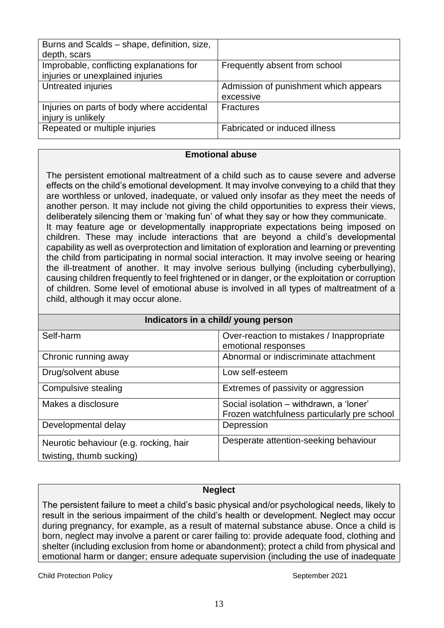| Burns and Scalds - shape, definition, size, |                                       |
|---------------------------------------------|---------------------------------------|
| depth, scars                                |                                       |
| Improbable, conflicting explanations for    | Frequently absent from school         |
| injuries or unexplained injuries            |                                       |
| Untreated injuries                          | Admission of punishment which appears |
|                                             | excessive                             |
| Injuries on parts of body where accidental  | <b>Fractures</b>                      |
| injury is unlikely                          |                                       |
| Repeated or multiple injuries               | Fabricated or induced illness         |
|                                             |                                       |

#### **Emotional abuse**

The persistent emotional maltreatment of a child such as to cause severe and adverse effects on the child's emotional development. It may involve conveying to a child that they are worthless or unloved, inadequate, or valued only insofar as they meet the needs of another person. It may include not giving the child opportunities to express their views, deliberately silencing them or 'making fun' of what they say or how they communicate. It may feature age or developmentally inappropriate expectations being imposed on children. These may include interactions that are beyond a child's developmental capability as well as overprotection and limitation of exploration and learning or preventing the child from participating in normal social interaction. It may involve seeing or hearing the ill-treatment of another. It may involve serious bullying (including cyberbullying), causing children frequently to feel frightened or in danger, or the exploitation or corruption of children. Some level of emotional abuse is involved in all types of maltreatment of a child, although it may occur alone.

| Indicators in a child/ young person                                |                                                                                        |  |
|--------------------------------------------------------------------|----------------------------------------------------------------------------------------|--|
| Self-harm                                                          | Over-reaction to mistakes / Inappropriate<br>emotional responses                       |  |
| Chronic running away                                               | Abnormal or indiscriminate attachment                                                  |  |
| Drug/solvent abuse                                                 | Low self-esteem                                                                        |  |
| Compulsive stealing                                                | Extremes of passivity or aggression                                                    |  |
| Makes a disclosure                                                 | Social isolation – withdrawn, a 'loner'<br>Frozen watchfulness particularly pre school |  |
| Developmental delay                                                | Depression                                                                             |  |
| Neurotic behaviour (e.g. rocking, hair<br>twisting, thumb sucking) | Desperate attention-seeking behaviour                                                  |  |

### **Neglect**

The persistent failure to meet a child's basic physical and/or psychological needs, likely to result in the serious impairment of the child's health or development. Neglect may occur during pregnancy, for example, as a result of maternal substance abuse. Once a child is born, neglect may involve a parent or carer failing to: provide adequate food, clothing and shelter (including exclusion from home or abandonment); protect a child from physical and emotional harm or danger; ensure adequate supervision (including the use of inadequate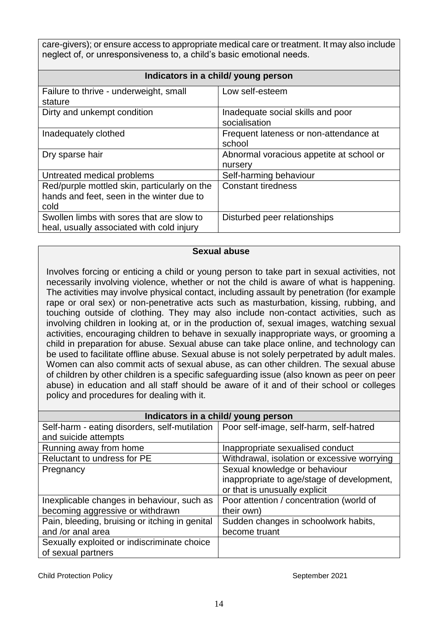care-givers); or ensure access to appropriate medical care or treatment. It may also include neglect of, or unresponsiveness to, a child's basic emotional needs.

| Indicators in a child/ young person                                                               |                                                     |  |
|---------------------------------------------------------------------------------------------------|-----------------------------------------------------|--|
| Failure to thrive - underweight, small<br>stature                                                 | Low self-esteem                                     |  |
| Dirty and unkempt condition                                                                       | Inadequate social skills and poor<br>socialisation  |  |
| Inadequately clothed                                                                              | Frequent lateness or non-attendance at<br>school    |  |
| Dry sparse hair                                                                                   | Abnormal voracious appetite at school or<br>nursery |  |
| Untreated medical problems                                                                        | Self-harming behaviour                              |  |
| Red/purple mottled skin, particularly on the<br>hands and feet, seen in the winter due to<br>cold | <b>Constant tiredness</b>                           |  |
| Swollen limbs with sores that are slow to<br>heal, usually associated with cold injury            | Disturbed peer relationships                        |  |

#### **Sexual abuse**

Involves forcing or enticing a child or young person to take part in sexual activities, not necessarily involving violence, whether or not the child is aware of what is happening. The activities may involve physical contact, including assault by penetration (for example rape or oral sex) or non-penetrative acts such as masturbation, kissing, rubbing, and touching outside of clothing. They may also include non-contact activities, such as involving children in looking at, or in the production of, sexual images, watching sexual activities, encouraging children to behave in sexually inappropriate ways, or grooming a child in preparation for abuse. Sexual abuse can take place online, and technology can be used to facilitate offline abuse. Sexual abuse is not solely perpetrated by adult males. Women can also commit acts of sexual abuse, as can other children. The sexual abuse of children by other children is a specific safeguarding issue (also known as peer on peer abuse) in education and all staff should be aware of it and of their school or colleges policy and procedures for dealing with it.

| Indicators in a child/ young person            |                                             |  |
|------------------------------------------------|---------------------------------------------|--|
| Self-harm - eating disorders, self-mutilation  | Poor self-image, self-harm, self-hatred     |  |
| and suicide attempts                           |                                             |  |
| Running away from home                         | Inappropriate sexualised conduct            |  |
| Reluctant to undress for PE                    | Withdrawal, isolation or excessive worrying |  |
| Pregnancy                                      | Sexual knowledge or behaviour               |  |
|                                                | inappropriate to age/stage of development,  |  |
|                                                | or that is unusually explicit               |  |
| Inexplicable changes in behaviour, such as     | Poor attention / concentration (world of    |  |
| becoming aggressive or withdrawn               | their own)                                  |  |
| Pain, bleeding, bruising or itching in genital | Sudden changes in schoolwork habits,        |  |
| and /or anal area                              | become truant                               |  |
| Sexually exploited or indiscriminate choice    |                                             |  |
| of sexual partners                             |                                             |  |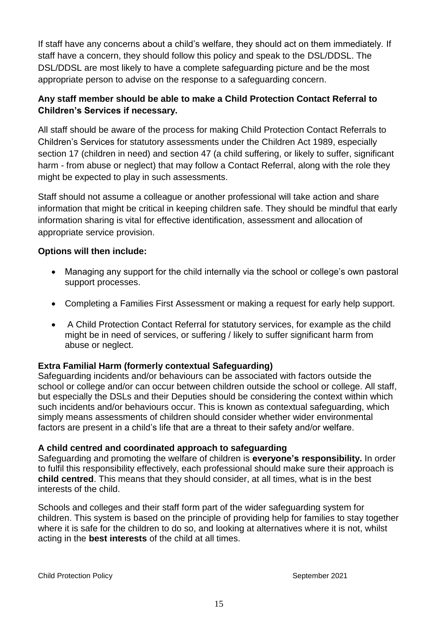If staff have any concerns about a child's welfare, they should act on them immediately. If staff have a concern, they should follow this policy and speak to the DSL/DDSL. The DSL/DDSL are most likely to have a complete safeguarding picture and be the most appropriate person to advise on the response to a safeguarding concern.

# **Any staff member should be able to make a Child Protection Contact Referral to Children's Services if necessary.**

All staff should be aware of the process for making Child Protection Contact Referrals to Children's Services for statutory assessments under the Children Act 1989, especially section 17 (children in need) and section 47 (a child suffering, or likely to suffer, significant harm - from abuse or neglect) that may follow a Contact Referral, along with the role they might be expected to play in such assessments.

Staff should not assume a colleague or another professional will take action and share information that might be critical in keeping children safe. They should be mindful that early information sharing is vital for effective identification, assessment and allocation of appropriate service provision.

# **Options will then include:**

- Managing any support for the child internally via the school or college's own pastoral support processes.
- Completing a Families First Assessment or making a request for early help support.
- A Child Protection Contact Referral for statutory services, for example as the child might be in need of services, or suffering / likely to suffer significant harm from abuse or neglect.

### **Extra Familial Harm (formerly contextual Safeguarding)**

Safeguarding incidents and/or behaviours can be associated with factors outside the school or college and/or can occur between children outside the school or college. All staff, but especially the DSLs and their Deputies should be considering the context within which such incidents and/or behaviours occur. This is known as contextual safeguarding, which simply means assessments of children should consider whether wider environmental factors are present in a child's life that are a threat to their safety and/or welfare.

### **A child centred and coordinated approach to safeguarding**

Safeguarding and promoting the welfare of children is **everyone's responsibility.** In order to fulfil this responsibility effectively, each professional should make sure their approach is **child centred**. This means that they should consider, at all times, what is in the best interests of the child.

Schools and colleges and their staff form part of the wider safeguarding system for children. This system is based on the principle of providing help for families to stay together where it is safe for the children to do so, and looking at alternatives where it is not, whilst acting in the **best interests** of the child at all times.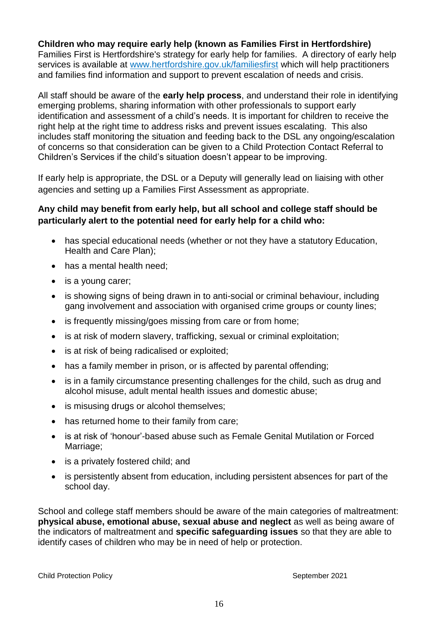### **Children who may require early help (known as Families First in Hertfordshire)**

Families First is Hertfordshire's strategy for early help for families. A directory of early help services is available at [www.hertfordshire.gov.uk/familiesfirst](http://www.hertfordshire.gov.uk/familiesfirst) which will help practitioners and families find information and support to prevent escalation of needs and crisis.

All staff should be aware of the **early help process**, and understand their role in identifying emerging problems, sharing information with other professionals to support early identification and assessment of a child's needs. It is important for children to receive the right help at the right time to address risks and prevent issues escalating. This also includes staff monitoring the situation and feeding back to the DSL any ongoing/escalation of concerns so that consideration can be given to a Child Protection Contact Referral to Children's Services if the child's situation doesn't appear to be improving.

If early help is appropriate, the DSL or a Deputy will generally lead on liaising with other agencies and setting up a Families First Assessment as appropriate.

### **Any child may benefit from early help, but all school and college staff should be particularly alert to the potential need for early help for a child who:**

- has special educational needs (whether or not they have a statutory Education, Health and Care Plan);
- has a mental health need:
- is a young carer;
- is showing signs of being drawn in to anti-social or criminal behaviour, including gang involvement and association with organised crime groups or county lines;
- is frequently missing/goes missing from care or from home;
- is at risk of modern slavery, trafficking, sexual or criminal exploitation;
- is at risk of being radicalised or exploited;
- has a family member in prison, or is affected by parental offending;
- is in a family circumstance presenting challenges for the child, such as drug and alcohol misuse, adult mental health issues and domestic abuse;
- is misusing drugs or alcohol themselves;
- has returned home to their family from care;
- is at risk of 'honour'-based abuse such as Female Genital Mutilation or Forced Marriage;
- is a privately fostered child; and
- is persistently absent from education, including persistent absences for part of the school day.

School and college staff members should be aware of the main categories of maltreatment: **physical abuse, emotional abuse, sexual abuse and neglect** as well as being aware of the indicators of maltreatment and **specific safeguarding issues** so that they are able to identify cases of children who may be in need of help or protection.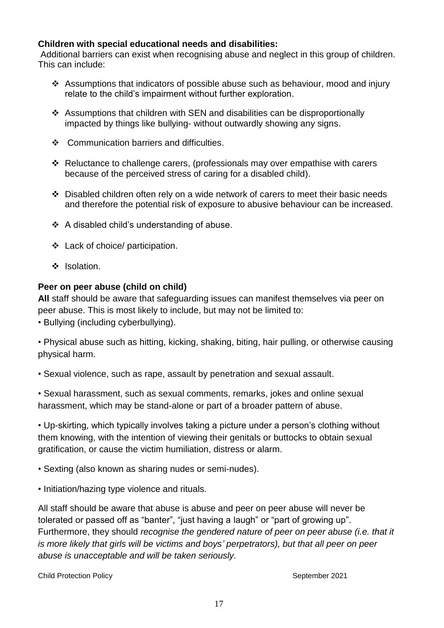### **Children with special educational needs and disabilities:**

Additional barriers can exist when recognising abuse and neglect in this group of children. This can include:

- Assumptions that indicators of possible abuse such as behaviour, mood and injury relate to the child's impairment without further exploration.
- Assumptions that children with SEN and disabilities can be disproportionally impacted by things like bullying- without outwardly showing any signs.
- Communication barriers and difficulties.
- Reluctance to challenge carers, (professionals may over empathise with carers because of the perceived stress of caring for a disabled child).
- $\div$  Disabled children often rely on a wide network of carers to meet their basic needs and therefore the potential risk of exposure to abusive behaviour can be increased.
- A disabled child's understanding of abuse.
- Lack of choice/ participation.
- ❖ Isolation.

### **Peer on peer abuse (child on child)**

**All** staff should be aware that safeguarding issues can manifest themselves via peer on peer abuse. This is most likely to include, but may not be limited to:

• Bullying (including cyberbullying).

• Physical abuse such as hitting, kicking, shaking, biting, hair pulling, or otherwise causing physical harm.

• Sexual violence, such as rape, assault by penetration and sexual assault.

• Sexual harassment, such as sexual comments, remarks, jokes and online sexual harassment, which may be stand-alone or part of a broader pattern of abuse.

• Up-skirting, which typically involves taking a picture under a person's clothing without them knowing, with the intention of viewing their genitals or buttocks to obtain sexual gratification, or cause the victim humiliation, distress or alarm.

• Sexting (also known as sharing nudes or semi-nudes).

• Initiation/hazing type violence and rituals.

All staff should be aware that abuse is abuse and peer on peer abuse will never be tolerated or passed off as "banter", "just having a laugh" or "part of growing up". Furthermore, they should *recognise the gendered nature of peer on peer abuse (i.e. that it is more likely that girls will be victims and boys' perpetrators), but that all peer on peer abuse is unacceptable and will be taken seriously.*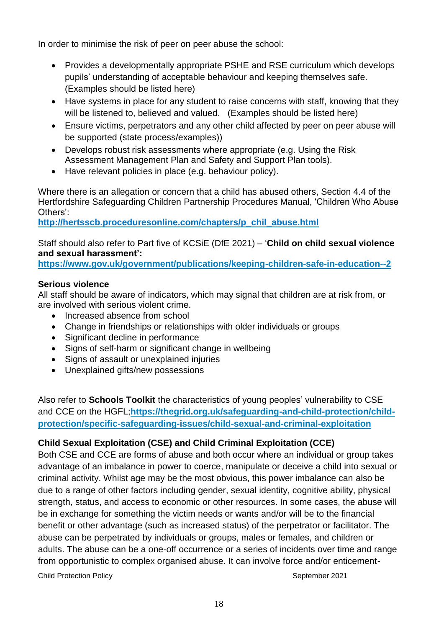In order to minimise the risk of peer on peer abuse the school:

- Provides a developmentally appropriate PSHE and RSE curriculum which develops pupils' understanding of acceptable behaviour and keeping themselves safe. (Examples should be listed here)
- Have systems in place for any student to raise concerns with staff, knowing that they will be listened to, believed and valued. (Examples should be listed here)
- Ensure victims, perpetrators and any other child affected by peer on peer abuse will be supported (state process/examples))
- Develops robust risk assessments where appropriate (e.g. Using the Risk Assessment Management Plan and Safety and Support Plan tools).
- Have relevant policies in place (e.g. behaviour policy).

Where there is an allegation or concern that a child has abused others, Section 4.4 of the Hertfordshire Safeguarding Children Partnership Procedures Manual, 'Children Who Abuse Others':

**[http://hertsscb.proceduresonline.com/chapters/p\\_chil\\_abuse.html](http://hertsscb.proceduresonline.com/chapters/p_chil_abuse.html)**

Staff should also refer to Part five of KCSiE (DfE 2021) – '**Child on child sexual violence and sexual harassment':**

**<https://www.gov.uk/government/publications/keeping-children-safe-in-education--2>**

# **Serious violence**

All staff should be aware of indicators, which may signal that children are at risk from, or are involved with serious violent crime.

- Increased absence from school
- Change in friendships or relationships with older individuals or groups
- Significant decline in performance
- Signs of self-harm or significant change in wellbeing
- Signs of assault or unexplained injuries
- Unexplained gifts/new possessions

Also refer to **Schools Toolkit** the characteristics of young peoples' vulnerability to CSE and CCE on the HGFL;**[https://thegrid.org.uk/safeguarding-and-child-protection/child](https://thegrid.org.uk/safeguarding-and-child-protection/child-protection/specific-safeguarding-issues/child-sexual-and-criminal-exploitation)[protection/specific-safeguarding-issues/child-sexual-and-criminal-exploitation](https://thegrid.org.uk/safeguarding-and-child-protection/child-protection/specific-safeguarding-issues/child-sexual-and-criminal-exploitation)**

# **Child Sexual Exploitation (CSE) and Child Criminal Exploitation (CCE)**

**Child Protection Policy September 2021** Both CSE and CCE are forms of abuse and both occur where an individual or group takes advantage of an imbalance in power to coerce, manipulate or deceive a child into sexual or criminal activity. Whilst age may be the most obvious, this power imbalance can also be due to a range of other factors including gender, sexual identity, cognitive ability, physical strength, status, and access to economic or other resources. In some cases, the abuse will be in exchange for something the victim needs or wants and/or will be to the financial benefit or other advantage (such as increased status) of the perpetrator or facilitator. The abuse can be perpetrated by individuals or groups, males or females, and children or adults. The abuse can be a one-off occurrence or a series of incidents over time and range from opportunistic to complex organised abuse. It can involve force and/or enticement-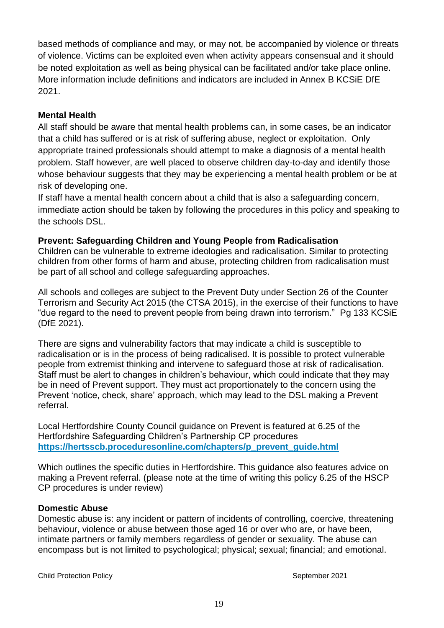based methods of compliance and may, or may not, be accompanied by violence or threats of violence. Victims can be exploited even when activity appears consensual and it should be noted exploitation as well as being physical can be facilitated and/or take place online. More information include definitions and indicators are included in Annex B KCSiE DfE 2021.

### **Mental Health**

All staff should be aware that mental health problems can, in some cases, be an indicator that a child has suffered or is at risk of suffering abuse, neglect or exploitation. Only appropriate trained professionals should attempt to make a diagnosis of a mental health problem. Staff however, are well placed to observe children day-to-day and identify those whose behaviour suggests that they may be experiencing a mental health problem or be at risk of developing one.

If staff have a mental health concern about a child that is also a safeguarding concern, immediate action should be taken by following the procedures in this policy and speaking to the schools DSL.

# **Prevent: Safeguarding Children and Young People from Radicalisation**

Children can be vulnerable to extreme ideologies and radicalisation. Similar to protecting children from other forms of harm and abuse, protecting children from radicalisation must be part of all school and college safeguarding approaches.

All schools and colleges are subject to the Prevent Duty under Section 26 of the Counter Terrorism and Security Act 2015 (the CTSA 2015), in the exercise of their functions to have "due regard to the need to prevent people from being drawn into terrorism." Pg 133 KCSiE (DfE 2021).

There are signs and vulnerability factors that may indicate a child is susceptible to radicalisation or is in the process of being radicalised. It is possible to protect vulnerable people from extremist thinking and intervene to safeguard those at risk of radicalisation. Staff must be alert to changes in children's behaviour, which could indicate that they may be in need of Prevent support. They must act proportionately to the concern using the Prevent 'notice, check, share' approach, which may lead to the DSL making a Prevent referral.

Local Hertfordshire County Council guidance on Prevent is featured at 6.25 of the Hertfordshire Safeguarding Children's Partnership CP procedures **[https://hertsscb.proceduresonline.com/chapters/p\\_prevent\\_guide.html](https://hertsscb.proceduresonline.com/chapters/p_prevent_guide.html)**

Which outlines the specific duties in Hertfordshire. This guidance also features advice on making a Prevent referral. (please note at the time of writing this policy 6.25 of the HSCP CP procedures is under review)

### **Domestic Abuse**

Domestic abuse is: any incident or pattern of incidents of controlling, coercive, threatening behaviour, violence or abuse between those aged 16 or over who are, or have been, intimate partners or family members regardless of gender or sexuality. The abuse can encompass but is not limited to psychological; physical; sexual; financial; and emotional.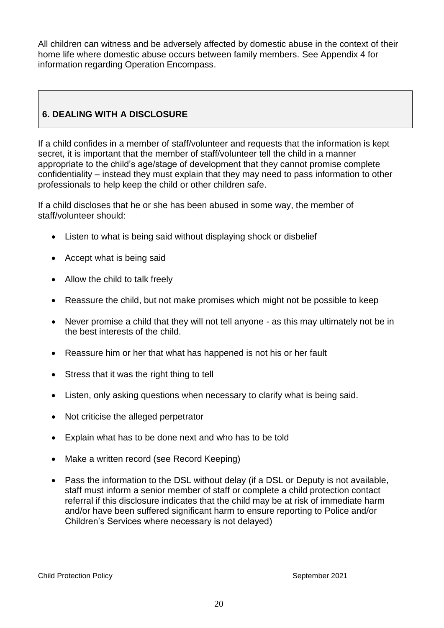All children can witness and be adversely affected by domestic abuse in the context of their home life where domestic abuse occurs between family members. See Appendix 4 for information regarding Operation Encompass.

# **6. DEALING WITH A DISCLOSURE**

If a child confides in a member of staff/volunteer and requests that the information is kept secret, it is important that the member of staff/volunteer tell the child in a manner appropriate to the child's age/stage of development that they cannot promise complete confidentiality – instead they must explain that they may need to pass information to other professionals to help keep the child or other children safe.

If a child discloses that he or she has been abused in some way, the member of staff/volunteer should:

- Listen to what is being said without displaying shock or disbelief
- Accept what is being said
- Allow the child to talk freely
- Reassure the child, but not make promises which might not be possible to keep
- Never promise a child that they will not tell anyone as this may ultimately not be in the best interests of the child.
- Reassure him or her that what has happened is not his or her fault
- Stress that it was the right thing to tell
- Listen, only asking questions when necessary to clarify what is being said.
- Not criticise the alleged perpetrator
- Explain what has to be done next and who has to be told
- Make a written record (see Record Keeping)
- Pass the information to the DSL without delay (if a DSL or Deputy is not available, staff must inform a senior member of staff or complete a child protection contact referral if this disclosure indicates that the child may be at risk of immediate harm and/or have been suffered significant harm to ensure reporting to Police and/or Children's Services where necessary is not delayed)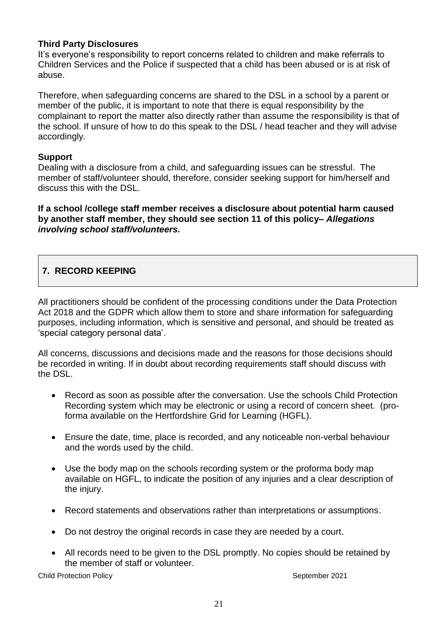### **Third Party Disclosures**

It's everyone's responsibility to report concerns related to children and make referrals to Children Services and the Police if suspected that a child has been abused or is at risk of abuse.

Therefore, when safeguarding concerns are shared to the DSL in a school by a parent or member of the public, it is important to note that there is equal responsibility by the complainant to report the matter also directly rather than assume the responsibility is that of the school. If unsure of how to do this speak to the DSL / head teacher and they will advise accordingly.

### **Support**

Dealing with a disclosure from a child, and safeguarding issues can be stressful. The member of staff/volunteer should, therefore, consider seeking support for him/herself and discuss this with the DSL.

**If a school /college staff member receives a disclosure about potential harm caused by another staff member, they should see section 11 of this policy–** *Allegations involving school staff/volunteers.* 

# **7. RECORD KEEPING**

All practitioners should be confident of the processing conditions under the Data Protection Act 2018 and the GDPR which allow them to store and share information for safeguarding purposes, including information, which is sensitive and personal, and should be treated as 'special category personal data'.

All concerns, discussions and decisions made and the reasons for those decisions should be recorded in writing. If in doubt about recording requirements staff should discuss with the DSL.

- Record as soon as possible after the conversation. Use the schools Child Protection Recording system which may be electronic or using a record of concern sheet. (proforma available on the Hertfordshire Grid for Learning (HGFL).
- Ensure the date, time, place is recorded, and any noticeable non-verbal behaviour and the words used by the child.
- Use the body map on the schools recording system or the proforma body map available on HGFL, to indicate the position of any injuries and a clear description of the injury.
- Record statements and observations rather than interpretations or assumptions.
- Do not destroy the original records in case they are needed by a court.
- All records need to be given to the DSL promptly. No copies should be retained by the member of staff or volunteer.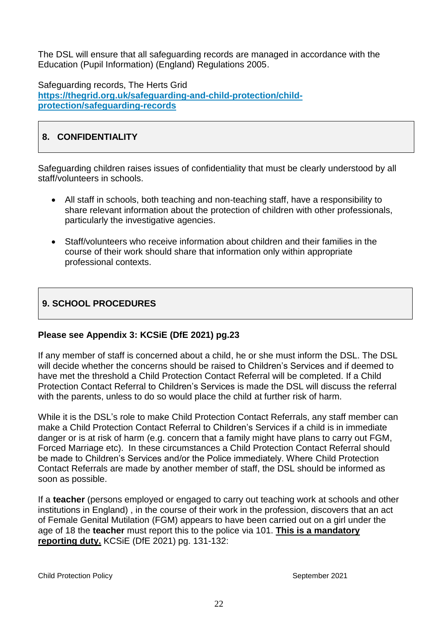The DSL will ensure that all safeguarding records are managed in accordance with the Education (Pupil Information) (England) Regulations 2005.

Safeguarding records, The Herts Grid **[https://thegrid.org.uk/safeguarding-and-child-protection/child](https://thegrid.org.uk/safeguarding-and-child-protection/child-protection/safeguarding-records)[protection/safeguarding-records](https://thegrid.org.uk/safeguarding-and-child-protection/child-protection/safeguarding-records)**

# **8. CONFIDENTIALITY**

Safeguarding children raises issues of confidentiality that must be clearly understood by all staff/volunteers in schools.

- All staff in schools, both teaching and non-teaching staff, have a responsibility to share relevant information about the protection of children with other professionals, particularly the investigative agencies.
- Staff/volunteers who receive information about children and their families in the course of their work should share that information only within appropriate professional contexts.

# **9. SCHOOL PROCEDURES**

### **Please see Appendix 3: KCSiE (DfE 2021) pg.23**

If any member of staff is concerned about a child, he or she must inform the DSL. The DSL will decide whether the concerns should be raised to Children's Services and if deemed to have met the threshold a Child Protection Contact Referral will be completed. If a Child Protection Contact Referral to Children's Services is made the DSL will discuss the referral with the parents, unless to do so would place the child at further risk of harm.

While it is the DSL's role to make Child Protection Contact Referrals, any staff member can make a Child Protection Contact Referral to Children's Services if a child is in immediate danger or is at risk of harm (e.g. concern that a family might have plans to carry out FGM, Forced Marriage etc). In these circumstances a Child Protection Contact Referral should be made to Children's Services and/or the Police immediately. Where Child Protection Contact Referrals are made by another member of staff, the DSL should be informed as soon as possible.

If a **teacher** (persons employed or engaged to carry out teaching work at schools and other institutions in England) , in the course of their work in the profession, discovers that an act of Female Genital Mutilation (FGM) appears to have been carried out on a girl under the age of 18 the **teacher** must report this to the police via 101. **This is a mandatory reporting duty.** KCSiE (DfE 2021) pg. 131-132: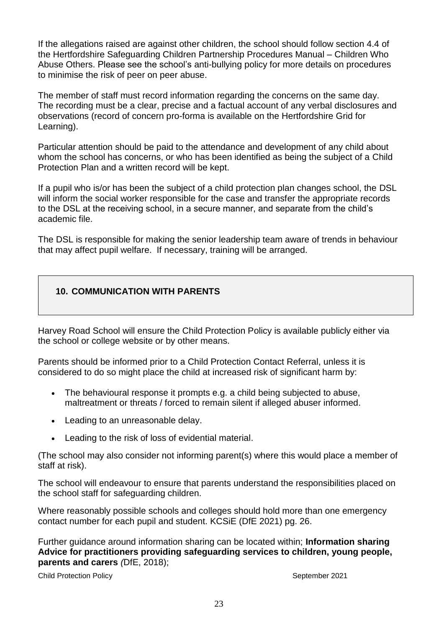If the allegations raised are against other children, the school should follow section 4.4 of the Hertfordshire Safeguarding Children Partnership Procedures Manual – Children Who Abuse Others. Please see the school's anti-bullying policy for more details on procedures to minimise the risk of peer on peer abuse.

The member of staff must record information regarding the concerns on the same day. The recording must be a clear, precise and a factual account of any verbal disclosures and observations (record of concern pro-forma is available on the Hertfordshire Grid for Learning).

Particular attention should be paid to the attendance and development of any child about whom the school has concerns, or who has been identified as being the subject of a Child Protection Plan and a written record will be kept.

If a pupil who is/or has been the subject of a child protection plan changes school, the DSL will inform the social worker responsible for the case and transfer the appropriate records to the DSL at the receiving school, in a secure manner, and separate from the child's academic file.

The DSL is responsible for making the senior leadership team aware of trends in behaviour that may affect pupil welfare. If necessary, training will be arranged.

# **10. COMMUNICATION WITH PARENTS**

Harvey Road School will ensure the Child Protection Policy is available publicly either via the school or college website or by other means.

Parents should be informed prior to a Child Protection Contact Referral, unless it is considered to do so might place the child at increased risk of significant harm by:

- The behavioural response it prompts e.g. a child being subjected to abuse, maltreatment or threats / forced to remain silent if alleged abuser informed.
- Leading to an unreasonable delay.
- Leading to the risk of loss of evidential material.

(The school may also consider not informing parent(s) where this would place a member of staff at risk).

The school will endeavour to ensure that parents understand the responsibilities placed on the school staff for safeguarding children.

Where reasonably possible schools and colleges should hold more than one emergency contact number for each pupil and student. KCSiE (DfE 2021) pg. 26.

Further guidance around information sharing can be located within; **Information sharing Advice for practitioners providing safeguarding services to children, young people, parents and carers** *(*DfE, 2018);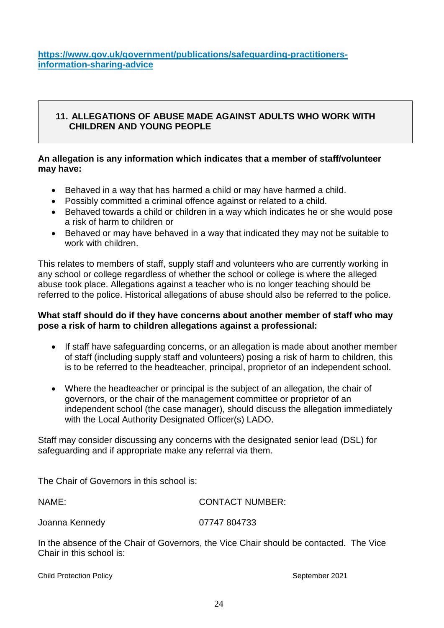**[https://www.gov.uk/government/publications/safeguarding-practitioners](https://www.gov.uk/government/publications/safeguarding-practitioners-information-sharing-advice)[information-sharing-advice](https://www.gov.uk/government/publications/safeguarding-practitioners-information-sharing-advice)**

### **11. ALLEGATIONS OF ABUSE MADE AGAINST ADULTS WHO WORK WITH CHILDREN AND YOUNG PEOPLE**

### **An allegation is any information which indicates that a member of staff/volunteer may have:**

- Behaved in a way that has harmed a child or may have harmed a child.
- Possibly committed a criminal offence against or related to a child.
- Behaved towards a child or children in a way which indicates he or she would pose a risk of harm to children or
- Behaved or may have behaved in a way that indicated they may not be suitable to work with children.

This relates to members of staff, supply staff and volunteers who are currently working in any school or college regardless of whether the school or college is where the alleged abuse took place. Allegations against a teacher who is no longer teaching should be referred to the police. Historical allegations of abuse should also be referred to the police.

### **What staff should do if they have concerns about another member of staff who may pose a risk of harm to children allegations against a professional:**

- If staff have safeguarding concerns, or an allegation is made about another member of staff (including supply staff and volunteers) posing a risk of harm to children, this is to be referred to the headteacher, principal, proprietor of an independent school.
- Where the headteacher or principal is the subject of an allegation, the chair of governors, or the chair of the management committee or proprietor of an independent school (the case manager), should discuss the allegation immediately with the Local Authority Designated Officer(s) LADO.

Staff may consider discussing any concerns with the designated senior lead (DSL) for safeguarding and if appropriate make any referral via them.

The Chair of Governors in this school is:

| NAME:          | <b>CONTACT NUMBER:</b> |  |
|----------------|------------------------|--|
| Joanna Kennedy | 07747 804733           |  |
|                |                        |  |

In the absence of the Chair of Governors, the Vice Chair should be contacted. The Vice Chair in this school is: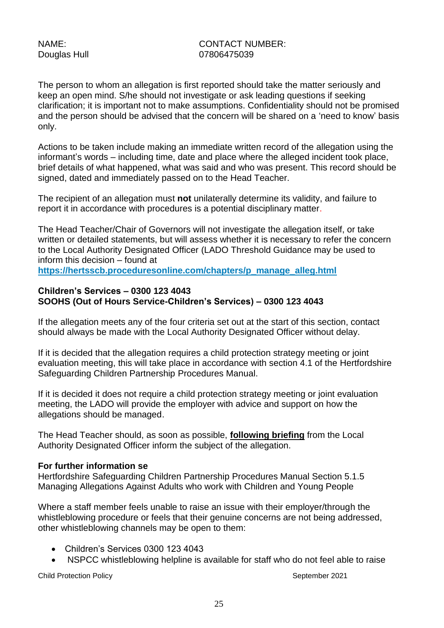### NAME: CONTACT NUMBER: Douglas Hull 07806475039

The person to whom an allegation is first reported should take the matter seriously and keep an open mind. S/he should not investigate or ask leading questions if seeking clarification; it is important not to make assumptions. Confidentiality should not be promised and the person should be advised that the concern will be shared on a 'need to know' basis only.

Actions to be taken include making an immediate written record of the allegation using the informant's words – including time, date and place where the alleged incident took place, brief details of what happened, what was said and who was present. This record should be signed, dated and immediately passed on to the Head Teacher.

The recipient of an allegation must **not** unilaterally determine its validity, and failure to report it in accordance with procedures is a potential disciplinary matter.

The Head Teacher/Chair of Governors will not investigate the allegation itself, or take written or detailed statements, but will assess whether it is necessary to refer the concern to the Local Authority Designated Officer (LADO Threshold Guidance may be used to inform this decision – found at

**[https://hertsscb.proceduresonline.com/chapters/p\\_manage\\_alleg.html](https://hertsscb.proceduresonline.com/chapters/p_manage_alleg.html)**

### **Children's Services – 0300 123 4043 SOOHS (Out of Hours Service-Children's Services) – 0300 123 4043**

If the allegation meets any of the four criteria set out at the start of this section, contact should always be made with the Local Authority Designated Officer without delay.

If it is decided that the allegation requires a child protection strategy meeting or joint evaluation meeting, this will take place in accordance with section 4.1 of the Hertfordshire Safeguarding Children Partnership Procedures Manual.

If it is decided it does not require a child protection strategy meeting or joint evaluation meeting, the LADO will provide the employer with advice and support on how the allegations should be managed.

The Head Teacher should, as soon as possible, **following briefing** from the Local Authority Designated Officer inform the subject of the allegation.

#### **For further information se**

Hertfordshire Safeguarding Children Partnership Procedures Manual Section 5.1.5 [Managing Allegations Against Adults who work with Children and Young People](http://www.proceduresonline.com/herts_scb/chapters/p_manage_alleg.html) 

Where a staff member feels unable to raise an issue with their employer/through the whistleblowing procedure or feels that their genuine concerns are not being addressed, other whistleblowing channels may be open to them:

- Children's Services 0300 123 4043
- NSPCC whistleblowing helpline is available for staff who do not feel able to raise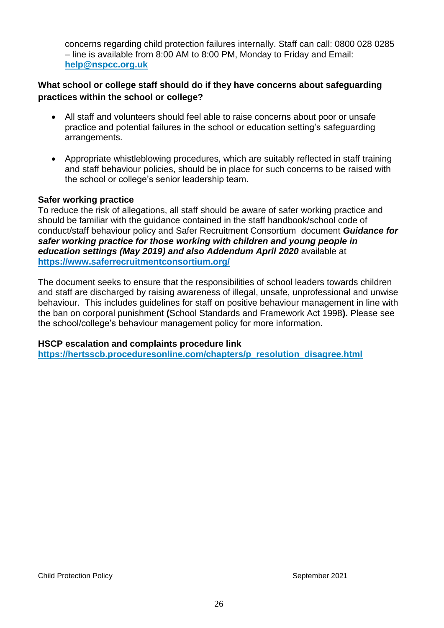concerns regarding child protection failures internally. Staff can call: 0800 028 0285 – line is available from 8:00 AM to 8:00 PM, Monday to Friday and Email: **[help@nspcc.org.uk](mailto:help@nspcc.org.uk)**

### **What school or college staff should do if they have concerns about safeguarding practices within the school or college?**

- All staff and volunteers should feel able to raise concerns about poor or unsafe practice and potential failures in the school or education setting's safeguarding arrangements.
- Appropriate whistleblowing procedures, which are suitably reflected in staff training and staff behaviour policies, should be in place for such concerns to be raised with the school or college's senior leadership team.

### **Safer working practice**

To reduce the risk of allegations, all staff should be aware of safer working practice and should be familiar with the guidance contained in the staff handbook/school code of conduct/staff behaviour policy and Safer Recruitment Consortium document *Guidance for safer working practice for those working with children and young people in education settings (May 2019) and also Addendum April 2020* available at **<https://www.saferrecruitmentconsortium.org/>**

The document seeks to ensure that the responsibilities of school leaders towards children and staff are discharged by raising awareness of illegal, unsafe, unprofessional and unwise behaviour. This includes guidelines for staff on positive behaviour management in line with the ban on corporal punishment **(**School Standards and Framework Act 1998**).** Please see the school/college's behaviour management policy for more information.

#### **HSCP escalation and complaints procedure link**

**[https://hertsscb.proceduresonline.com/chapters/p\\_resolution\\_disagree.html](https://hertsscb.proceduresonline.com/chapters/p_resolution_disagree.html)**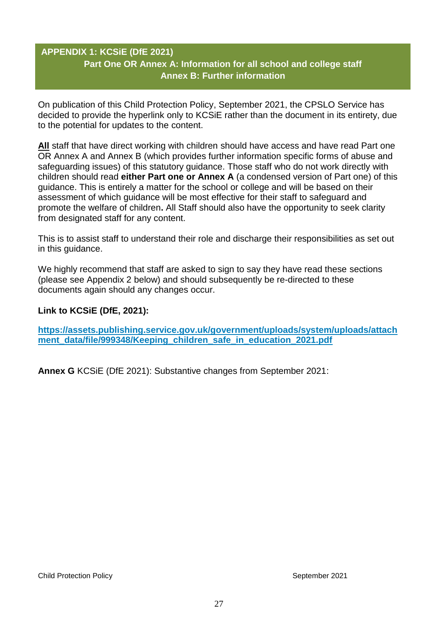# **APPENDIX 1: KCSiE (DfE 2021) Part One OR Annex A: Information for all school and college staff Annex B: Further information**

On publication of this Child Protection Policy, September 2021, the CPSLO Service has decided to provide the hyperlink only to KCSiE rather than the document in its entirety, due to the potential for updates to the content.

**All** staff that have direct working with children should have access and have read Part one OR Annex A and Annex B (which provides further information specific forms of abuse and safeguarding issues) of this statutory guidance. Those staff who do not work directly with children should read **either Part one or Annex A** (a condensed version of Part one) of this guidance. This is entirely a matter for the school or college and will be based on their assessment of which guidance will be most effective for their staff to safeguard and promote the welfare of children**.** All Staff should also have the opportunity to seek clarity from designated staff for any content.

This is to assist staff to understand their role and discharge their responsibilities as set out in this guidance.

We highly recommend that staff are asked to sign to say they have read these sections (please see Appendix 2 below) and should subsequently be re-directed to these documents again should any changes occur.

### **Link to KCSiE (DfE, 2021):**

**[https://assets.publishing.service.gov.uk/government/uploads/system/uploads/attach](https://assets.publishing.service.gov.uk/government/uploads/system/uploads/attachment_data/file/999348/Keeping_children_safe_in_education_2021.pdf)** ment data/file/999348/Keeping children safe in education 2021.pdf

**Annex G** KCSiE (DfE 2021): Substantive changes from September 2021: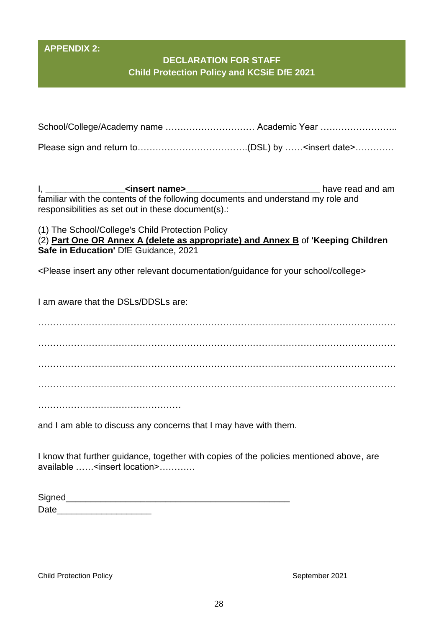### **APPENDIX 2:**

# **DECLARATION FOR STAFF Child Protection Policy and KCSiE DfE 2021**

| School/College/Academy name  Academic Year |  |
|--------------------------------------------|--|
|                                            |  |

Please sign and return to……………………………….(DSL) by ……<insert date>………….

I, **\_\_\_\_\_\_\_\_\_\_\_\_\_\_\_\_<insert name>\_\_\_\_\_\_\_\_\_\_\_\_\_\_\_\_\_\_\_\_\_\_\_\_\_\_\_** have read and am familiar with the contents of the following documents and understand my role and responsibilities as set out in these document(s).:

(1) The School/College's Child Protection Policy

(2) **Part One OR Annex A (delete as appropriate) and Annex B** of **'Keeping Children Safe in Education'** DfE Guidance, 2021

<Please insert any other relevant documentation/guidance for your school/college>

I am aware that the DSLs/DDSLs are:

. The contract of the contract of the contract of the contract of the contract of the contract of the contract of the contract of the contract of the contract of the contract of the contract of the contract of the contrac ………………………………………………………………………………………………………… ………………………………………………………………………………………………………… …………………………………………………………………………………………………………

………………………………………………

and I am able to discuss any concerns that I may have with them.

I know that further guidance, together with copies of the policies mentioned above, are available ……<insert location>…………

| Signed |  |  |
|--------|--|--|
| Date   |  |  |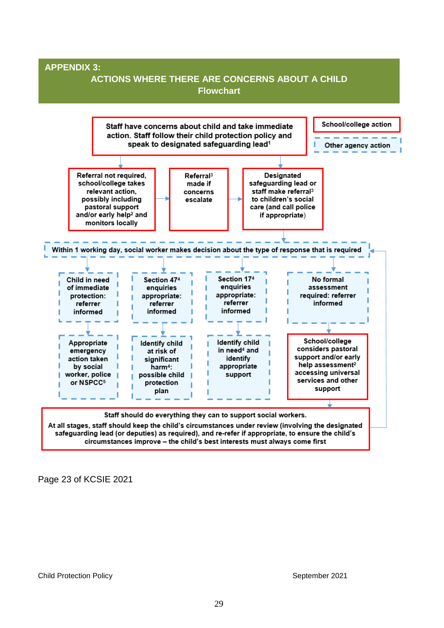

Page 23 of KCSIE 2021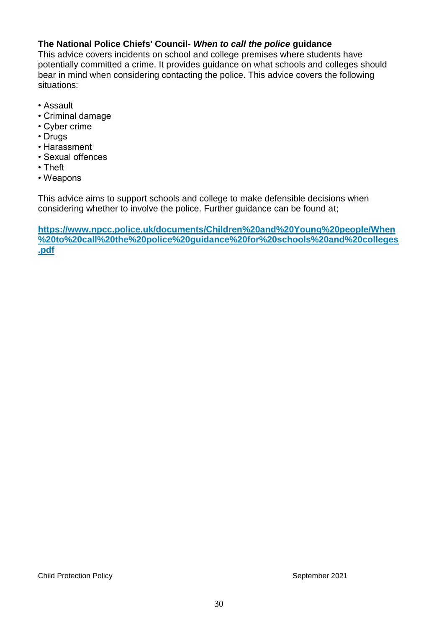### **The National Police Chiefs' Council-** *When to call the police* **guidance**

This advice covers incidents on school and college premises where students have potentially committed a crime. It provides guidance on what schools and colleges should bear in mind when considering contacting the police. This advice covers the following situations:

- Assault
- Criminal damage
- Cyber crime
- Drugs
- Harassment
- Sexual offences
- Theft
- Weapons

This advice aims to support schools and college to make defensible decisions when considering whether to involve the police. Further guidance can be found at;

**[https://www.npcc.police.uk/documents/Children%20and%20Young%20people/When](https://www.npcc.police.uk/documents/Children%20and%20Young%20people/When%20to%20call%20the%20police%20guidance%20for%20schools%20and%20colleges.pdf) [%20to%20call%20the%20police%20guidance%20for%20schools%20and%20colleges](https://www.npcc.police.uk/documents/Children%20and%20Young%20people/When%20to%20call%20the%20police%20guidance%20for%20schools%20and%20colleges.pdf) [.pdf](https://www.npcc.police.uk/documents/Children%20and%20Young%20people/When%20to%20call%20the%20police%20guidance%20for%20schools%20and%20colleges.pdf)**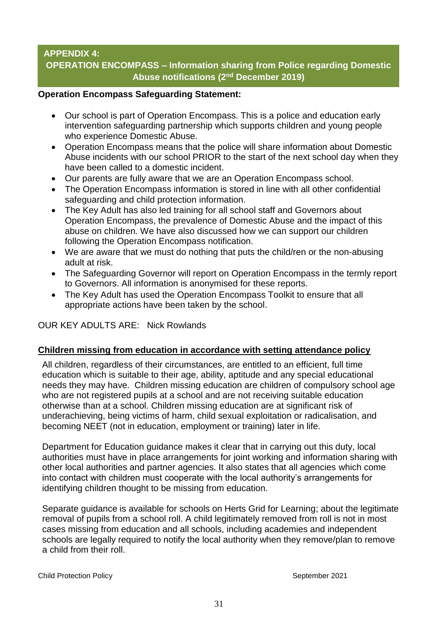# **APPENDIX 4: OPERATION ENCOMPASS – Information sharing from Police regarding Domestic Abuse notifications (2nd December 2019)**

#### **Operation Encompass Safeguarding Statement:**

- Our school is part of Operation Encompass. This is a police and education early intervention safeguarding partnership which supports children and young people who experience Domestic Abuse.
- Operation Encompass means that the police will share information about Domestic Abuse incidents with our school PRIOR to the start of the next school day when they have been called to a domestic incident.
- Our parents are fully aware that we are an Operation Encompass school.
- The Operation Encompass information is stored in line with all other confidential safeguarding and child protection information.
- The Key Adult has also led training for all school staff and Governors about Operation Encompass, the prevalence of Domestic Abuse and the impact of this abuse on children. We have also discussed how we can support our children following the Operation Encompass notification.
- We are aware that we must do nothing that puts the child/ren or the non-abusing adult at risk.
- The Safeguarding Governor will report on Operation Encompass in the termly report to Governors. All information is anonymised for these reports.
- The Key Adult has used the Operation Encompass Toolkit to ensure that all appropriate actions have been taken by the school.

### OUR KEY ADULTS ARE: Nick Rowlands

### **Children missing from education in accordance with setting attendance policy**

All children, regardless of their circumstances, are entitled to an efficient, full time education which is suitable to their age, ability, aptitude and any special educational needs they may have. Children missing education are children of compulsory school age who are not registered pupils at a school and are not receiving suitable education otherwise than at a school. Children missing education are at significant risk of underachieving, being victims of harm, child sexual exploitation or radicalisation, and becoming NEET (not in education, employment or training) later in life.

Department for Education guidance makes it clear that in carrying out this duty, local authorities must have in place arrangements for joint working and information sharing with other local authorities and partner agencies. It also states that all agencies which come into contact with children must cooperate with the local authority's arrangements for identifying children thought to be missing from education.

Separate guidance is available for schools on Herts Grid for Learning; about the legitimate removal of pupils from a school roll. A child legitimately removed from roll is not in most cases missing from education and all schools, including academies and independent schools are legally required to notify the local authority when they remove/plan to remove a child from their roll.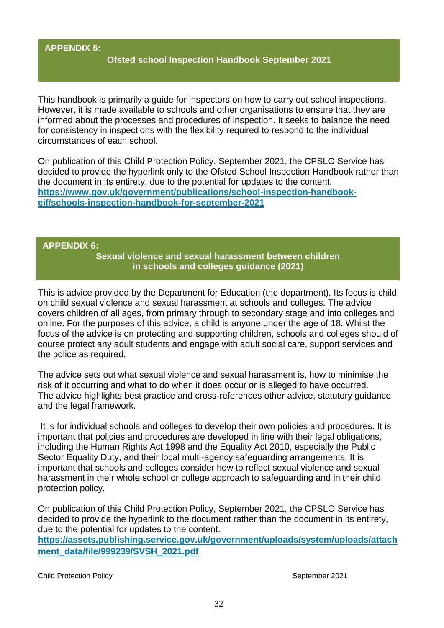### **APPENDIX 5:**

### **Ofsted school Inspection Handbook September 2021**

This handbook is primarily a guide for inspectors on how to carry out school inspections. However, it is made available to schools and other organisations to ensure that they are informed about the processes and procedures of inspection. It seeks to balance the need for consistency in inspections with the flexibility required to respond to the individual circumstances of each school.

On publication of this Child Protection Policy, September 2021, the CPSLO Service has decided to provide the hyperlink only to the Ofsted School Inspection Handbook rather than the document in its entirety, due to the potential for updates to the content. **[https://www.gov.uk/government/publications/school-inspection-handbook](https://www.gov.uk/government/publications/school-inspection-handbook-eif/schools-inspection-handbook-for-september-2021)[eif/schools-inspection-handbook-for-september-2021](https://www.gov.uk/government/publications/school-inspection-handbook-eif/schools-inspection-handbook-for-september-2021)**

#### **APPENDIX 6:**

**Sexual violence and sexual harassment between children in schools and colleges guidance (2021)**

This is advice provided by the Department for Education (the department). Its focus is child on child sexual violence and sexual harassment at schools and colleges. The advice covers children of all ages, from primary through to secondary stage and into colleges and online. For the purposes of this advice, a child is anyone under the age of 18. Whilst the focus of the advice is on protecting and supporting children, schools and colleges should of course protect any adult students and engage with adult social care, support services and the police as required.

The advice sets out what sexual violence and sexual harassment is, how to minimise the risk of it occurring and what to do when it does occur or is alleged to have occurred. The advice highlights best practice and cross-references other advice, statutory guidance and the legal framework.

It is for individual schools and colleges to develop their own policies and procedures. It is important that policies and procedures are developed in line with their legal obligations, including the Human Rights Act 1998 and the Equality Act 2010, especially the Public Sector Equality Duty, and their local multi-agency safeguarding arrangements. It is important that schools and colleges consider how to reflect sexual violence and sexual harassment in their whole school or college approach to safeguarding and in their child protection policy.

On publication of this Child Protection Policy, September 2021, the CPSLO Service has decided to provide the hyperlink to the document rather than the document in its entirety, due to the potential for updates to the content.

**[https://assets.publishing.service.gov.uk/government/uploads/system/uploads/attach](https://assets.publishing.service.gov.uk/government/uploads/system/uploads/attachment_data/file/999239/SVSH_2021.pdf) [ment\\_data/file/999239/SVSH\\_2021.pdf](https://assets.publishing.service.gov.uk/government/uploads/system/uploads/attachment_data/file/999239/SVSH_2021.pdf)**